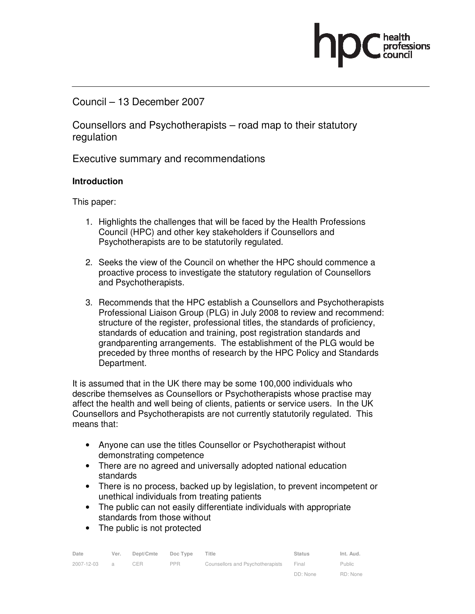## Council – 13 December 2007

Counsellors and Psychotherapists – road map to their statutory regulation

Executive summary and recommendations

### **Introduction**

This paper:

- 1. Highlights the challenges that will be faced by the Health Professions Council (HPC) and other key stakeholders if Counsellors and Psychotherapists are to be statutorily regulated.
- 2. Seeks the view of the Council on whether the HPC should commence a proactive process to investigate the statutory regulation of Counsellors and Psychotherapists.
- 3. Recommends that the HPC establish a Counsellors and Psychotherapists Professional Liaison Group (PLG) in July 2008 to review and recommend: structure of the register, professional titles, the standards of proficiency, standards of education and training, post registration standards and grandparenting arrangements. The establishment of the PLG would be preceded by three months of research by the HPC Policy and Standards Department.

It is assumed that in the UK there may be some 100,000 individuals who describe themselves as Counsellors or Psychotherapists whose practise may affect the health and well being of clients, patients or service users. In the UK Counsellors and Psychotherapists are not currently statutorily regulated. This means that:

- Anyone can use the titles Counsellor or Psychotherapist without demonstrating competence
- There are no agreed and universally adopted national education standards
- There is no process, backed up by legislation, to prevent incompetent or unethical individuals from treating patients
- The public can not easily differentiate individuals with appropriate standards from those without
- The public is not protected

| Date       | Ver.           | Dept/Cmte | Doc Type   | Title                            | <b>Status</b> | Int. Aud. |
|------------|----------------|-----------|------------|----------------------------------|---------------|-----------|
| 2007-12-03 | $\overline{a}$ | CER       | <b>PPR</b> | Counsellors and Psychotherapists | Final         | Public    |
|            |                |           |            |                                  | DD: None      | RD: None  |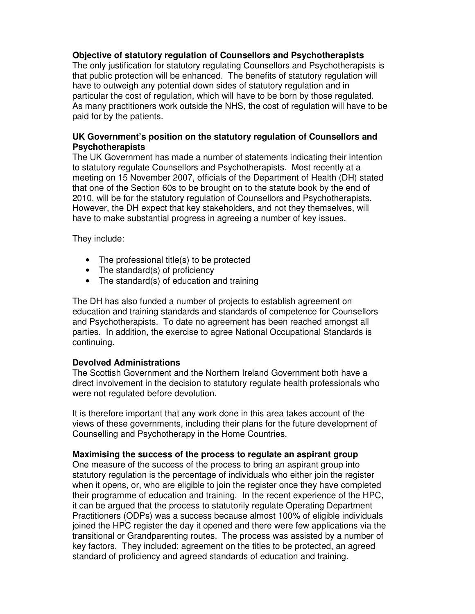#### **Objective of statutory regulation of Counsellors and Psychotherapists**

The only justification for statutory regulating Counsellors and Psychotherapists is that public protection will be enhanced. The benefits of statutory regulation will have to outweigh any potential down sides of statutory regulation and in particular the cost of regulation, which will have to be born by those regulated. As many practitioners work outside the NHS, the cost of regulation will have to be paid for by the patients.

#### **UK Government's position on the statutory regulation of Counsellors and Psychotherapists**

The UK Government has made a number of statements indicating their intention to statutory regulate Counsellors and Psychotherapists. Most recently at a meeting on 15 November 2007, officials of the Department of Health (DH) stated that one of the Section 60s to be brought on to the statute book by the end of 2010, will be for the statutory regulation of Counsellors and Psychotherapists. However, the DH expect that key stakeholders, and not they themselves, will have to make substantial progress in agreeing a number of key issues.

They include:

- The professional title(s) to be protected
- The standard(s) of proficiency
- The standard(s) of education and training

The DH has also funded a number of projects to establish agreement on education and training standards and standards of competence for Counsellors and Psychotherapists. To date no agreement has been reached amongst all parties. In addition, the exercise to agree National Occupational Standards is continuing.

## **Devolved Administrations**

The Scottish Government and the Northern Ireland Government both have a direct involvement in the decision to statutory regulate health professionals who were not regulated before devolution.

It is therefore important that any work done in this area takes account of the views of these governments, including their plans for the future development of Counselling and Psychotherapy in the Home Countries.

## **Maximising the success of the process to regulate an aspirant group**

One measure of the success of the process to bring an aspirant group into statutory regulation is the percentage of individuals who either join the register when it opens, or, who are eligible to join the register once they have completed their programme of education and training. In the recent experience of the HPC, it can be argued that the process to statutorily regulate Operating Department Practitioners (ODPs) was a success because almost 100% of eligible individuals joined the HPC register the day it opened and there were few applications via the transitional or Grandparenting routes. The process was assisted by a number of key factors. They included: agreement on the titles to be protected, an agreed standard of proficiency and agreed standards of education and training.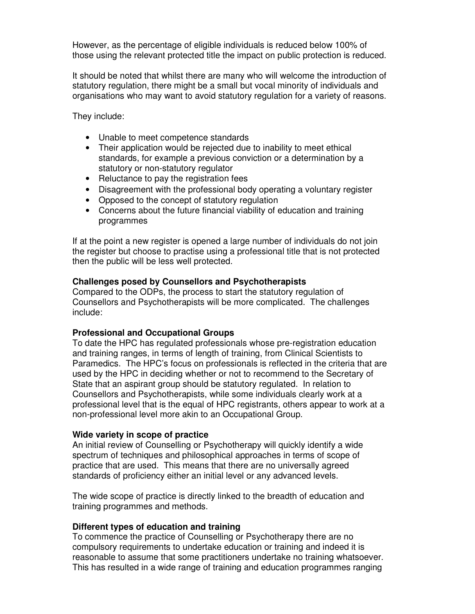However, as the percentage of eligible individuals is reduced below 100% of those using the relevant protected title the impact on public protection is reduced.

It should be noted that whilst there are many who will welcome the introduction of statutory regulation, there might be a small but vocal minority of individuals and organisations who may want to avoid statutory regulation for a variety of reasons.

They include:

- Unable to meet competence standards
- Their application would be rejected due to inability to meet ethical standards, for example a previous conviction or a determination by a statutory or non-statutory regulator
- Reluctance to pay the registration fees
- Disagreement with the professional body operating a voluntary register
- Opposed to the concept of statutory regulation
- Concerns about the future financial viability of education and training programmes

If at the point a new register is opened a large number of individuals do not join the register but choose to practise using a professional title that is not protected then the public will be less well protected.

#### **Challenges posed by Counsellors and Psychotherapists**

Compared to the ODPs, the process to start the statutory regulation of Counsellors and Psychotherapists will be more complicated. The challenges include:

#### **Professional and Occupational Groups**

To date the HPC has regulated professionals whose pre-registration education and training ranges, in terms of length of training, from Clinical Scientists to Paramedics. The HPC's focus on professionals is reflected in the criteria that are used by the HPC in deciding whether or not to recommend to the Secretary of State that an aspirant group should be statutory regulated. In relation to Counsellors and Psychotherapists, while some individuals clearly work at a professional level that is the equal of HPC registrants, others appear to work at a non-professional level more akin to an Occupational Group.

#### **Wide variety in scope of practice**

An initial review of Counselling or Psychotherapy will quickly identify a wide spectrum of techniques and philosophical approaches in terms of scope of practice that are used. This means that there are no universally agreed standards of proficiency either an initial level or any advanced levels.

The wide scope of practice is directly linked to the breadth of education and training programmes and methods.

#### **Different types of education and training**

To commence the practice of Counselling or Psychotherapy there are no compulsory requirements to undertake education or training and indeed it is reasonable to assume that some practitioners undertake no training whatsoever. This has resulted in a wide range of training and education programmes ranging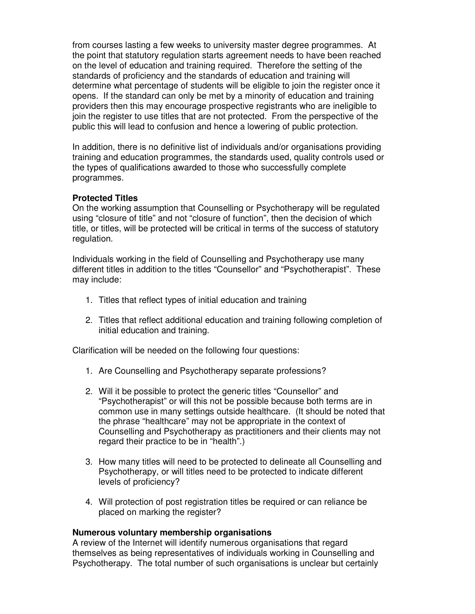from courses lasting a few weeks to university master degree programmes. At the point that statutory regulation starts agreement needs to have been reached on the level of education and training required. Therefore the setting of the standards of proficiency and the standards of education and training will determine what percentage of students will be eligible to join the register once it opens. If the standard can only be met by a minority of education and training providers then this may encourage prospective registrants who are ineligible to join the register to use titles that are not protected. From the perspective of the public this will lead to confusion and hence a lowering of public protection.

In addition, there is no definitive list of individuals and/or organisations providing training and education programmes, the standards used, quality controls used or the types of qualifications awarded to those who successfully complete programmes.

#### **Protected Titles**

On the working assumption that Counselling or Psychotherapy will be regulated using "closure of title" and not "closure of function", then the decision of which title, or titles, will be protected will be critical in terms of the success of statutory regulation.

Individuals working in the field of Counselling and Psychotherapy use many different titles in addition to the titles "Counsellor" and "Psychotherapist". These may include:

- 1. Titles that reflect types of initial education and training
- 2. Titles that reflect additional education and training following completion of initial education and training.

Clarification will be needed on the following four questions:

- 1. Are Counselling and Psychotherapy separate professions?
- 2. Will it be possible to protect the generic titles "Counsellor" and "Psychotherapist" or will this not be possible because both terms are in common use in many settings outside healthcare. (It should be noted that the phrase "healthcare" may not be appropriate in the context of Counselling and Psychotherapy as practitioners and their clients may not regard their practice to be in "health".)
- 3. How many titles will need to be protected to delineate all Counselling and Psychotherapy, or will titles need to be protected to indicate different levels of proficiency?
- 4. Will protection of post registration titles be required or can reliance be placed on marking the register?

#### **Numerous voluntary membership organisations**

A review of the Internet will identify numerous organisations that regard themselves as being representatives of individuals working in Counselling and Psychotherapy. The total number of such organisations is unclear but certainly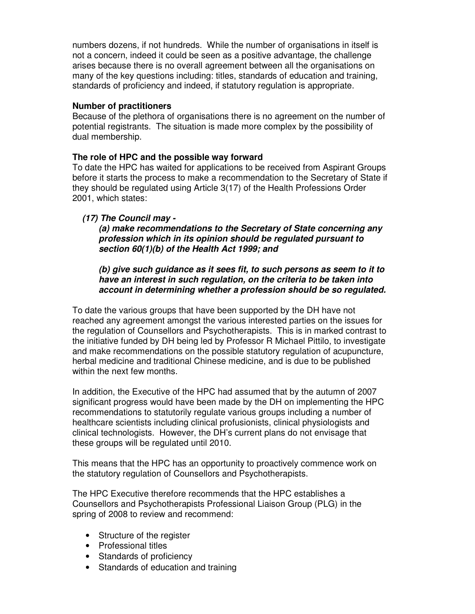numbers dozens, if not hundreds. While the number of organisations in itself is not a concern, indeed it could be seen as a positive advantage, the challenge arises because there is no overall agreement between all the organisations on many of the key questions including: titles, standards of education and training, standards of proficiency and indeed, if statutory regulation is appropriate.

#### **Number of practitioners**

Because of the plethora of organisations there is no agreement on the number of potential registrants. The situation is made more complex by the possibility of dual membership.

#### **The role of HPC and the possible way forward**

To date the HPC has waited for applications to be received from Aspirant Groups before it starts the process to make a recommendation to the Secretary of State if they should be regulated using Article 3(17) of the Health Professions Order 2001, which states:

#### **(17) The Council may -**

**(a) make recommendations to the Secretary of State concerning any profession which in its opinion should be regulated pursuant to section 60(1)(b) of the Health Act 1999; and** 

**(b) give such guidance as it sees fit, to such persons as seem to it to have an interest in such regulation, on the criteria to be taken into account in determining whether a profession should be so regulated.**

To date the various groups that have been supported by the DH have not reached any agreement amongst the various interested parties on the issues for the regulation of Counsellors and Psychotherapists. This is in marked contrast to the initiative funded by DH being led by Professor R Michael Pittilo, to investigate and make recommendations on the possible statutory regulation of acupuncture, herbal medicine and traditional Chinese medicine, and is due to be published within the next few months.

In addition, the Executive of the HPC had assumed that by the autumn of 2007 significant progress would have been made by the DH on implementing the HPC recommendations to statutorily regulate various groups including a number of healthcare scientists including clinical profusionists, clinical physiologists and clinical technologists. However, the DH's current plans do not envisage that these groups will be regulated until 2010.

This means that the HPC has an opportunity to proactively commence work on the statutory regulation of Counsellors and Psychotherapists.

The HPC Executive therefore recommends that the HPC establishes a Counsellors and Psychotherapists Professional Liaison Group (PLG) in the spring of 2008 to review and recommend:

- Structure of the register
- Professional titles
- Standards of proficiency
- Standards of education and training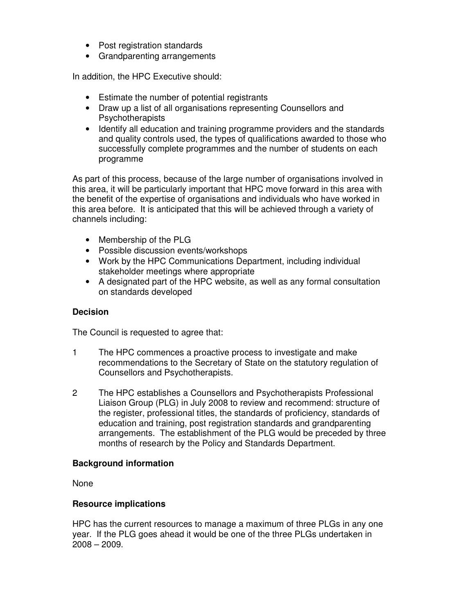- Post registration standards
- Grandparenting arrangements

In addition, the HPC Executive should:

- Estimate the number of potential registrants
- Draw up a list of all organisations representing Counsellors and **Psychotherapists**
- Identify all education and training programme providers and the standards and quality controls used, the types of qualifications awarded to those who successfully complete programmes and the number of students on each programme

As part of this process, because of the large number of organisations involved in this area, it will be particularly important that HPC move forward in this area with the benefit of the expertise of organisations and individuals who have worked in this area before. It is anticipated that this will be achieved through a variety of channels including:

- Membership of the PLG
- Possible discussion events/workshops
- Work by the HPC Communications Department, including individual stakeholder meetings where appropriate
- A designated part of the HPC website, as well as any formal consultation on standards developed

#### **Decision**

The Council is requested to agree that:

- 1 The HPC commences a proactive process to investigate and make recommendations to the Secretary of State on the statutory regulation of Counsellors and Psychotherapists.
- 2 The HPC establishes a Counsellors and Psychotherapists Professional Liaison Group (PLG) in July 2008 to review and recommend: structure of the register, professional titles, the standards of proficiency, standards of education and training, post registration standards and grandparenting arrangements. The establishment of the PLG would be preceded by three months of research by the Policy and Standards Department.

#### **Background information**

None

#### **Resource implications**

HPC has the current resources to manage a maximum of three PLGs in any one year. If the PLG goes ahead it would be one of the three PLGs undertaken in 2008 – 2009.